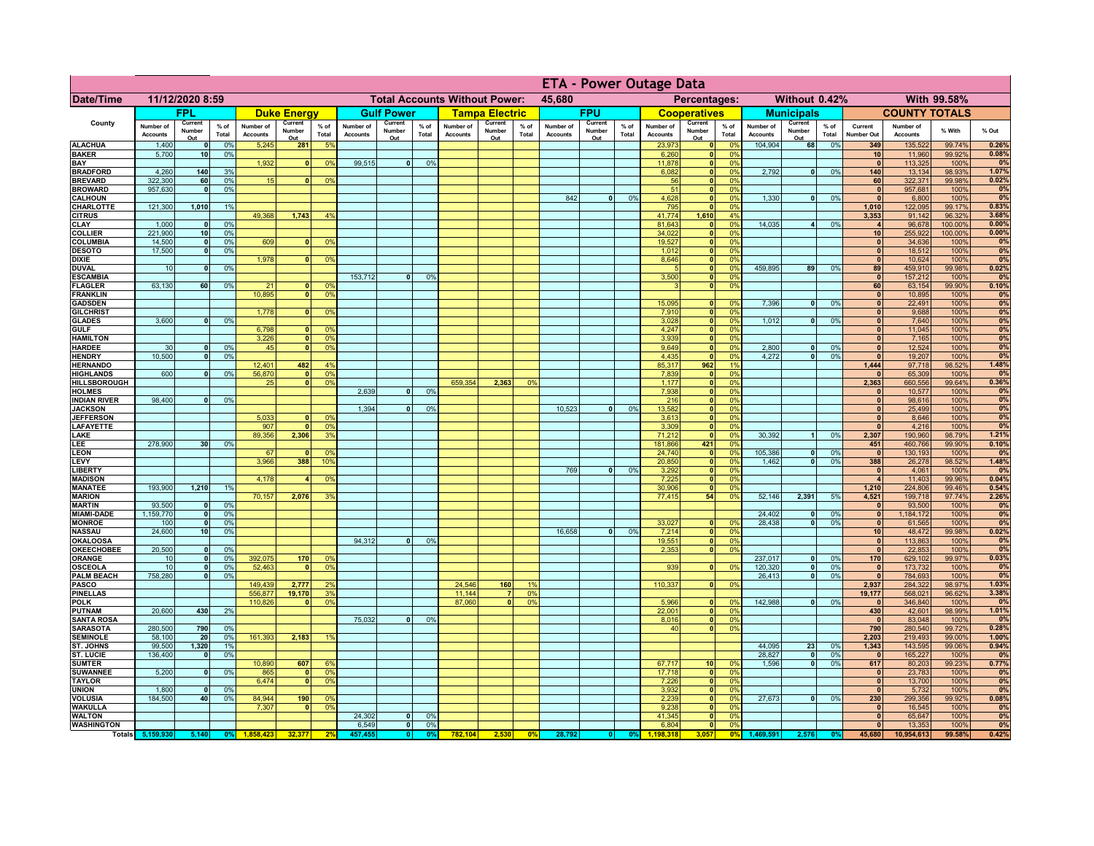|                                      |                              |                          |                 |                              |                                                |                                  |                              |                                 | <b>ETA - Power Outage Data</b> |                                              |                          |                |                              |                          |                 |                              |                              |                       |                              |                          |                 |                                 |                              |                 |             |
|--------------------------------------|------------------------------|--------------------------|-----------------|------------------------------|------------------------------------------------|----------------------------------|------------------------------|---------------------------------|--------------------------------|----------------------------------------------|--------------------------|----------------|------------------------------|--------------------------|-----------------|------------------------------|------------------------------|-----------------------|------------------------------|--------------------------|-----------------|---------------------------------|------------------------------|-----------------|-------------|
| Date/Time                            | 11/12/2020 8:59              |                          |                 |                              | <b>Total Accounts Without Power:</b><br>45,680 |                                  |                              |                                 |                                | Without 0.42%<br>With 99.58%<br>Percentages: |                          |                |                              |                          |                 |                              |                              |                       |                              |                          |                 |                                 |                              |                 |             |
|                                      |                              | <b>FPL</b>               |                 |                              | <b>Duke Energy</b>                             |                                  |                              | <b>Gulf Power</b>               |                                |                                              | <b>Tampa Electric</b>    |                |                              | <b>FPU</b>               |                 |                              | <b>Cooperatives</b>          |                       |                              | <b>Municipals</b>        |                 |                                 | <b>COUNTY TOTALS</b>         |                 |             |
| County                               | Number of<br><b>Accounts</b> | Current<br>Number<br>Out | $%$ of<br>Total | Number of<br><b>Accounts</b> | Current<br>Number<br>Out                       | $%$ of<br>Total                  | Number of<br><b>Accounts</b> | Current<br><b>Number</b><br>Out | $%$ of<br>Total                | Number of<br><b>Accounts</b>                 | Current<br>Number<br>Out | % of<br>Total  | Number of<br><b>Accounts</b> | Current<br>Number<br>Out | $%$ of<br>Total | Number of<br><b>Accounts</b> | Current<br>Number<br>Out     | $%$ of<br>Total       | Number of<br><b>Accounts</b> | Current<br>Number<br>Out | $%$ of<br>Total | Current<br>Number Out           | Number of<br><b>Accounts</b> | % With          | % Out       |
| <b>ALACHUA</b>                       | 1,400                        | $\Omega$                 | 0%              | 5,245                        | 281                                            | 5%                               |                              |                                 |                                |                                              |                          |                |                              |                          |                 | 23,973                       | 0                            | 0 <sup>9</sup>        | 104,904                      | 68                       | 0%              | 349                             | 135,522                      | 99.74%          | 0.26%       |
| <b>BAKER</b><br>BAY                  | 5,700                        | 10                       | 0%              | 1,932                        | $\mathbf{0}$                                   | 0%                               | 99,515                       | $\overline{0}$                  | 0%                             |                                              |                          |                |                              |                          |                 | 6,260<br>11.878              | 0 <br> 0                     | 0%<br>0%              |                              |                          |                 | 10 <sup>1</sup><br>$\mathbf{0}$ | 11,960<br>113,325            | 99.92%<br>100%  | 0.08%<br>0% |
| <b>BRADFORD</b>                      | 4,260                        | 140                      | 3%              |                              |                                                |                                  |                              |                                 |                                |                                              |                          |                |                              |                          |                 | 6,082                        | 0                            | 0%                    | 2.792                        | -ol                      | 0%              | 140                             | 13,134                       | 98.93%          | 1.07%       |
| <b>BREVARD</b>                       | 322,300                      | 60                       | 0%              | 15                           | n                                              | 0 <sup>9</sup>                   |                              |                                 |                                |                                              |                          |                |                              |                          |                 | 56                           | $\mathbf{0}$                 | 0%                    |                              |                          |                 | 60                              | 322,371                      | 99.98%          | 0.02%       |
| <b>BROWARD</b>                       | 957,630                      | $\mathbf{o}$             | 0%              |                              |                                                |                                  |                              |                                 |                                |                                              |                          |                |                              |                          |                 | 51                           | $\mathbf{0}$                 | 0%                    |                              | -ol                      |                 | $\mathbf{0}$<br>$\mathbf{0}$    | 957,681                      | 100%            | 0%          |
| <b>CALHOUN</b><br>CHARLOTTE          | 121,300                      | 1,010                    | 1%              |                              |                                                |                                  |                              |                                 |                                |                                              |                          |                | 842                          | $\bullet$                | 0%              | 4,628<br>795                 | $\mathbf{0}$                 | 0%<br>0%              | 1,330                        |                          | 0%              | 1,010                           | 6,800<br>122,095             | 100%<br>99.17%  | 0%<br>0.83% |
| <b>CITRUS</b>                        |                              |                          |                 | 49,368                       | 1,743                                          | 4%                               |                              |                                 |                                |                                              |                          |                |                              |                          |                 | 41,774                       | 1,610                        | 4%                    |                              |                          |                 | 3,353                           | 91,142                       | 96.32%          | 3.68%       |
| <b>CLAY</b>                          | 1,000                        | $\mathbf 0$              | 0%              |                              |                                                |                                  |                              |                                 |                                |                                              |                          |                |                              |                          |                 | 81,643<br>34,022             | 0                            | 0%<br>0%              | 14,035                       | $\vert$ 4                | 0%              | $\overline{4}$                  | 96,678                       | 100.00%         | 0.00%       |
| <b>COLLIER</b><br><b>COLUMBIA</b>    | 221,900<br>14,500            | 10<br> 0                 | 0%<br>0%        | 609                          | $\mathbf{0}$                                   | 0%                               |                              |                                 |                                |                                              |                          |                |                              |                          |                 | 19,527                       | 0 <br> 0                     | 0%                    |                              |                          |                 | 10<br> 0                        | 255,922<br>34,636            | 100.00%<br>100% | 0.00%<br>0% |
| <b>DESOTO</b>                        | 17,500                       | $\mathbf{0}$             | 0%              |                              |                                                |                                  |                              |                                 |                                |                                              |                          |                |                              |                          |                 | 1,012                        | 0                            | 0%                    |                              |                          |                 | 0                               | 18,512                       | 100%            | 0%          |
| <b>DIXIE</b>                         |                              |                          |                 | 1,978                        | $\Omega$                                       | 0%                               |                              |                                 |                                |                                              |                          |                |                              |                          |                 | 8,646                        | $\overline{\bullet}$         | 0%                    |                              |                          |                 | 0                               | 10,624                       | 100%            | 0%          |
| <b>DUVAL</b><br><b>ESCAMBIA</b>      | 10                           | $\mathbf{0}$             | 0%              |                              |                                                |                                  | 153,712                      | 0                               | 0%                             |                                              |                          |                |                              |                          |                 | $\sqrt{2}$<br>3,500          | 0 <br> 0                     | 0%<br>0%              | 459.895                      | 89                       | 0%              | 89<br> 0                        | 459,910<br>157,212           | 99.98%<br>100%  | 0.02%<br>0% |
| <b>FLAGLER</b>                       | 63,130                       | 60                       | 0%              | 21                           | $\mathbf{0}$                                   | 0 <sup>9</sup>                   |                              |                                 |                                |                                              |                          |                |                              |                          |                 | $\mathbf{R}$                 | 0                            | 0%                    |                              |                          |                 | 60                              | 63,154                       | 99.90%          | 0.10%       |
| <b>FRANKLIN</b>                      |                              |                          |                 | 10,895                       | $\mathbf{0}$                                   | 0 <sup>9</sup>                   |                              |                                 |                                |                                              |                          |                |                              |                          |                 |                              |                              |                       |                              |                          |                 | 0                               | 10,895                       | 100%            | 0%          |
| <b>GADSDEN</b>                       |                              |                          |                 | 1,778                        | $\mathbf{0}$                                   |                                  |                              |                                 |                                |                                              |                          |                |                              |                          |                 | 15,095<br>7,910              | 0 <br> 0                     | 0%<br>0%              | 7,396                        | $\overline{0}$           | 0%              | 0 <br> 0                        | 22,491<br>9,688              | 100%<br>100%    | 0%<br>0%    |
| <b>GILCHRIST</b><br><b>GLADES</b>    | 3,600                        | $\mathbf{0}$             | 0%              |                              |                                                | 0 <sup>9</sup>                   |                              |                                 |                                |                                              |                          |                |                              |                          |                 | 3,028                        | 0                            | 0%                    | 1,012                        | $\overline{0}$           | 0%              | $\overline{0}$                  | 7,640                        | 100%            | 0%          |
| <b>GULF</b>                          |                              |                          |                 | 6,798                        | n١                                             | 0 <sup>9</sup>                   |                              |                                 |                                |                                              |                          |                |                              |                          |                 | 4,247                        | 0                            | 0%                    |                              |                          |                 | $\overline{0}$                  | 11,045                       | 100%            | 0%          |
| <b>HAMILTON</b>                      |                              |                          |                 | 3,226                        | $\overline{\mathbf{0}}$                        | 0 <sup>9</sup>                   |                              |                                 |                                |                                              |                          |                |                              |                          |                 | 3,939                        | 0                            | 0%                    |                              |                          |                 | $\overline{0}$                  | 7,165                        | 100%            | 0%          |
| <b>HARDEE</b><br><b>HENDRY</b>       | 30<br>10,500                 | $\Omega$<br>$\mathbf{0}$ | 0%<br>0%        | 45                           | $\mathbf{0}$                                   | 0 <sup>9</sup>                   |                              |                                 |                                |                                              |                          |                |                              |                          |                 | 9,649<br>4,435               | 0 <br> 0                     | 0%<br>0%              | 2.800<br>4,272               | $\mathbf{0}$<br>$\Omega$ | 0%<br>0%        | $\mathbf{0}$<br>$\mathbf{0}$    | 12,524<br>19,207             | 100%<br>100%    | 0%<br>0%    |
| <b>HERNANDO</b>                      |                              |                          |                 | 12,401                       | 482                                            | 4 <sup>9</sup>                   |                              |                                 |                                |                                              |                          |                |                              |                          |                 | 85,317                       | 962                          | 1%                    |                              |                          |                 | 1,444                           | 97,718                       | 98.52%          | 1.48%       |
| <b>HIGHLANDS</b>                     | 600                          | $\mathbf{0}$             | 0%              | 56,870                       | $\mathbf{0}$                                   | 0 <sup>9</sup>                   |                              |                                 |                                |                                              |                          |                |                              |                          |                 | 7,839                        | 0                            | 0%                    |                              |                          |                 |                                 | 65,309                       | 100%            | 0%          |
| HILLSBOROUGH<br><b>HOLMES</b>        |                              |                          |                 | 25                           | $\mathbf{0}$                                   | 0 <sup>9</sup>                   | 2,639                        |                                 | 0%                             | 659,354                                      | 2,363                    | 0 <sup>9</sup> |                              |                          |                 | 1,177<br>7,938               | 0 <br> 0                     | 0%<br>0%              |                              |                          |                 | 2,363<br>$\mathbf{0}$           | 660,556<br>10,577            | 99.64%<br>100%  | 0.36%<br>0% |
| <b>INDIAN RIVER</b>                  | 98,400                       | $\Omega$                 | 0%              |                              |                                                |                                  |                              |                                 |                                |                                              |                          |                |                              |                          |                 | 216                          | $\mathbf{0}$                 | 0%                    |                              |                          |                 | $\mathbf{0}$                    | 98,616                       | 100%            | 0%          |
| <b>JACKSON</b>                       |                              |                          |                 |                              |                                                |                                  | 1,394                        |                                 | 0%                             |                                              |                          |                | 10,523                       | $\Omega$                 | 0%              | 13,582                       | $\mathbf{0}$                 | 0%                    |                              |                          |                 | 0                               | 25,499                       | 100%            | 0%          |
| <b>JEFFERSON</b>                     |                              |                          |                 | 5,033                        | O.                                             | 0 <sup>9</sup>                   |                              |                                 |                                |                                              |                          |                |                              |                          |                 | 3,613                        | $\mathbf{0}$                 | 0%                    |                              |                          |                 | 0                               | 8,646                        | 100%            | 0%          |
| <b>LAFAYETTE</b><br>LAKE             |                              |                          |                 | 907<br>89,356                | $\mathbf{0}$<br>2,306                          | 0 <sup>9</sup><br>3 <sup>9</sup> |                              |                                 |                                |                                              |                          |                |                              |                          |                 | 3,309<br>71,212              | $\mathbf{0}$<br>$\mathbf{0}$ | 0%<br>0%              | 30,392                       | 11                       | 0%              | $\mathbf{0}$<br>2,307           | 4,216<br>190,960             | 100%<br>98.79%  | 0%<br>1.21% |
| LEE                                  | 278,900                      | 30 <sub>1</sub>          | 0%              |                              |                                                |                                  |                              |                                 |                                |                                              |                          |                |                              |                          |                 | 181,866                      | 421                          | 0%                    |                              |                          |                 | 451                             | 460,766                      | 99.90%          | 0.10%       |
| <b>LEON</b>                          |                              |                          |                 | 67                           | $\mathbf{0}$                                   | 0 <sup>9</sup>                   |                              |                                 |                                |                                              |                          |                |                              |                          |                 | 24,740                       | 0                            | 0%                    | 105,386                      | 0                        | 0%              | $\bullet$                       | 130,193                      | 100%            | 0%          |
| LEVY<br><b>LIBERTY</b>               |                              |                          |                 | 3,966                        | 388                                            | 10%                              |                              |                                 |                                |                                              |                          |                | 769                          | 0                        | 0%              | 20,850<br>3,292              | 0 <br> 0                     | 0%<br>0%              | 1,462                        | - O I                    | 0%              | 388<br> 0                       | 26,278<br>4,061              | 98.52%<br>100%  | 1.48%<br>0% |
| <b>MADISON</b>                       |                              |                          |                 | 4,178                        | 4                                              | 0%                               |                              |                                 |                                |                                              |                          |                |                              |                          |                 | 7,225                        | 0                            | 0%                    |                              |                          |                 | $\overline{4}$                  | 11,403                       | 99.96%          | 0.04%       |
| <b>MANATEE</b>                       | 193,900                      | 1,210                    | 1%              |                              |                                                |                                  |                              |                                 |                                |                                              |                          |                |                              |                          |                 | 30,906                       | 0                            | 0%                    |                              |                          |                 | 1,210                           | 224,806                      | 99.46%          | 0.54%       |
| <b>MARION</b><br><b>MARTIN</b>       | 93,500                       | $\mathbf{0}$             | 0%              | 70,157                       | 2,076                                          | 3%                               |                              |                                 |                                |                                              |                          |                |                              |                          |                 | 77,415                       | 54                           | 0%                    | 52,146                       | 2,391                    | 5%              | 4,521<br> 0                     | 199,718<br>93,500            | 97.74%<br>100%  | 2.26%<br>0% |
| <b>MIAMI-DADE</b>                    | 1,159,770                    | 0                        | 0%              |                              |                                                |                                  |                              |                                 |                                |                                              |                          |                |                              |                          |                 |                              |                              |                       | 24,402                       | $\mathbf{0}$             | 0%              | 0                               | 1,184,172                    | 100%            | 0%          |
| <b>MONROE</b>                        | 100                          | - O I                    | 0%              |                              |                                                |                                  |                              |                                 |                                |                                              |                          |                |                              |                          |                 | 33,027                       | 0                            | $\Omega$ <sup>9</sup> | 28,438                       | 0                        | 0%              | 0                               | 61,565                       | 100%            | 0%          |
| <b>NASSAU</b>                        | 24,600                       | 10 <sup>1</sup>          | 0%              |                              |                                                |                                  |                              |                                 |                                |                                              |                          |                | 16,658                       | 0                        | 0%              | 7,214                        | 0                            | 0%                    |                              |                          |                 | 10                              | 48,472                       | 99.98%          | 0.02%       |
| <b>OKALOOSA</b><br><b>OKEECHOBEE</b> | 20,500                       | 0                        | 0%              |                              |                                                |                                  | 94,312                       | 0                               | 0%                             |                                              |                          |                |                              |                          |                 | 19,551<br>2,353              | 0 <br> 0                     | 0%<br>0%              |                              |                          |                 | 0 <br> 0                        | 113,863<br>22,853            | 100%<br>100%    | 0%<br>0%    |
| <b>ORANGE</b>                        | 10                           | 0                        | 0%              | 392,075                      | 170                                            | 0 <sup>9</sup>                   |                              |                                 |                                |                                              |                          |                |                              |                          |                 |                              |                              |                       | 237,017                      | -ol                      | 0%              | 170                             | 629,102                      | 99.97%          | 0.03%       |
| <b>OSCEOLA</b>                       | 10                           | 0                        | 0%              | 52,463                       | <b>0</b>                                       | 0 <sup>9</sup>                   |                              |                                 |                                |                                              |                          |                |                              |                          |                 | 939                          | 0                            | 0%                    | 120,320                      | 0                        | 0%              | $\mathbf{0}$                    | 173,732                      | 100%            | 0%          |
| <b>PALM BEACH</b><br><b>PASCO</b>    | 758,280                      | 0                        | 0%              | 149,439                      | 2,777                                          | 2 <sup>0</sup>                   |                              |                                 |                                | 24,546                                       | 160                      |                |                              |                          |                 | 110,337                      | 0                            | 0%                    | 26,413                       | $\overline{\phantom{0}}$ | 0%              | $\Omega$<br>2,937               | 784,693<br>284,322           | 100%<br>98.97%  | 0%<br>1.03% |
| <b>PINELLAS</b>                      |                              |                          |                 | 556,877                      | 19,170                                         | 3 <sup>0</sup>                   |                              |                                 |                                | 11,144                                       | $\overline{7}$           | 0 <sup>9</sup> |                              |                          |                 |                              |                              |                       |                              |                          |                 | 19,177                          | 568,021                      | 96.62%          | 3.38%       |
| <b>POLK</b>                          |                              |                          |                 | 110,826                      | n.                                             | 0 <sup>9</sup>                   |                              |                                 |                                | 87,060                                       | $\mathbf{a}$             | 0 <sup>o</sup> |                              |                          |                 | 5,966                        | 0                            | $\Omega$ <sup>o</sup> | 142,988                      | 0                        | 0%              | $\mathbf{0}$                    | 346,840                      | 100%            | 0%          |
| <b>PUTNAM</b><br><b>SANTA ROSA</b>   | 20,600                       | 430                      | 2%              |                              |                                                |                                  | 75,032                       | $\mathbf{0}$                    | 0%                             |                                              |                          |                |                              |                          |                 | 22,001<br>8,016              | 0 <br> 0                     | 0%<br>0%              |                              |                          |                 | 430<br>$\mathbf{0}$             | 42,601                       | 98.99%<br>100%  | 1.01%<br>0% |
| <b>SARASOTA</b>                      | 280,500                      | 790                      | 0%              |                              |                                                |                                  |                              |                                 |                                |                                              |                          |                |                              |                          |                 | 40                           | 0                            | 0%                    |                              |                          |                 | 790                             | 83,048<br>280,540            | 99.72%          | 0.28%       |
| <b>SEMINOLE</b>                      | 58,100                       | 20                       | 0%              | 161,393                      | 2,183                                          | 1 <sup>9</sup>                   |                              |                                 |                                |                                              |                          |                |                              |                          |                 |                              |                              |                       |                              |                          |                 | 2,203                           | 219,493                      | 99.00%          | 1.00%       |
| ST. JOHNS<br><b>ST. LUCIE</b>        | 99,500<br>136,400            | 1,320<br>$\mathbf{0}$    | 1%<br>0%        |                              |                                                |                                  |                              |                                 |                                |                                              |                          |                |                              |                          |                 |                              |                              |                       | 44,095<br>28,827             | 23<br> 0                 | 0%<br>0%        | 1,343<br>$\mathbf{0}$           | 143,595                      | 99.06%<br>100%  | 0.94%<br>0% |
| <b>SUMTER</b>                        |                              |                          |                 | 10,890                       | 607                                            | 6 <sup>0</sup>                   |                              |                                 |                                |                                              |                          |                |                              |                          |                 | 67,717                       | 10                           | 0 <sup>9</sup>        | 1,596                        | $\overline{\phantom{0}}$ | 0%              | 617                             | 165,227<br>80,203            | 99.23%          | 0.77%       |
| <b>SUWANNEE</b>                      | 5,200                        | $\mathbf{0}$             | 0%              | 865                          | - O I                                          | 0 <sup>9</sup>                   |                              |                                 |                                |                                              |                          |                |                              |                          |                 | 17,718                       | 0                            | 0%                    |                              |                          |                 | $\mathbf{0}$                    | 23,783                       | 100%            | 0%          |
| <b>TAYLOR</b>                        |                              |                          |                 | 6,474                        | $\Omega$                                       | 0 <sup>9</sup>                   |                              |                                 |                                |                                              |                          |                |                              |                          |                 | 7,226                        | 0                            | 0%                    |                              |                          |                 | $\mathbf{0}$                    | 13,700                       | 100%            | 0%          |
| <b>UNION</b><br><b>VOLUSIA</b>       | 1,800<br>184,500             | $\mathbf 0$<br>40        | 0%<br>0%        | 84,944                       | 190                                            | 0 <sup>9</sup>                   |                              |                                 |                                |                                              |                          |                |                              |                          |                 | 3,932<br>2,239               | 0 <br> 0                     | 0%<br>0%              | 27,673                       | $\overline{0}$           | 0%              | $\mathbf{0}$<br>230             | 5,732<br>299,356             | 100%<br>99.92%  | 0%<br>0.08% |
| <b>WAKULLA</b>                       |                              |                          |                 | 7,307                        | $\mathbf{0}$                                   | 0 <sup>9</sup>                   |                              |                                 |                                |                                              |                          |                |                              |                          |                 | 9,238                        | 0                            | 0%                    |                              |                          |                 | $\mathbf{0}$                    | 16,545                       | 100%            | 0%          |
| <b>WALTON</b>                        |                              |                          |                 |                              |                                                |                                  | 24,302                       | 0                               | 0%                             |                                              |                          |                |                              |                          |                 | 41,345                       | 0                            | 0%                    |                              |                          |                 | 0                               | 65,647                       | 100%            | 0%          |
| <b>WASHINGTON</b>                    |                              |                          |                 |                              |                                                |                                  | 6,549<br>457.455             | $\overline{\mathbf{0}}$         | 0%<br>0°                       |                                              |                          |                |                              |                          |                 | 6,804<br>1.198.318           | $\overline{\mathbf{0}}$      | 0%<br>0 <sup>9</sup>  |                              |                          |                 | 0                               | 13,353                       | 100%            | 0%<br>0.42% |
|                                      | Totals 5,159,930             | 5,140                    | 0%              |                              | 32,377                                         |                                  |                              | $\mathbf{0}$                    |                                | 782,104                                      | 2,530                    | 0 <sup>9</sup> | 28,792                       |                          | 0%              |                              |                              |                       | 1,469,591                    | 2,576                    |                 | 45,680                          | 10,954,613                   | 99.58%          |             |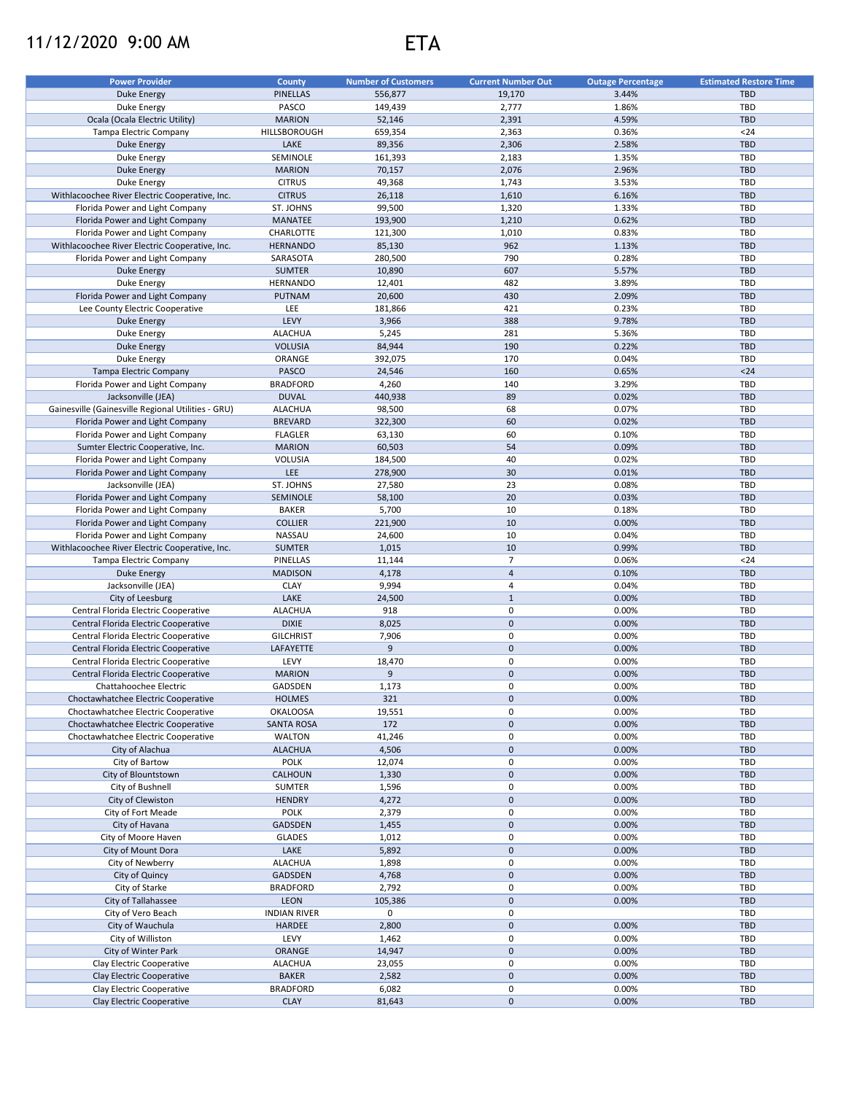## 11/12/2020 9:00 AM ETA



| <b>Power Provider</b>                                  | <b>County</b>            | <b>Number of Customers</b> | <b>Current Number Out</b> | <b>Outage Percentage</b> | <b>Estimated Restore Time</b> |
|--------------------------------------------------------|--------------------------|----------------------------|---------------------------|--------------------------|-------------------------------|
| Duke Energy                                            | <b>PINELLAS</b>          | 556,877                    | 19,170                    | 3.44%                    | <b>TBD</b>                    |
| Duke Energy                                            | PASCO                    | 149,439                    | 2,777                     | 1.86%                    | TBD                           |
| Ocala (Ocala Electric Utility)                         | <b>MARION</b>            | 52,146                     | 2,391                     | 4.59%                    | <b>TBD</b>                    |
| Tampa Electric Company                                 | HILLSBOROUGH             | 659,354                    | 2,363                     | 0.36%                    | $24$                          |
|                                                        | LAKE                     |                            | 2,306                     | 2.58%                    | <b>TBD</b>                    |
| <b>Duke Energy</b>                                     | SEMINOLE                 | 89,356                     | 2,183                     | 1.35%                    |                               |
| Duke Energy                                            |                          | 161,393                    |                           |                          | TBD                           |
| <b>Duke Energy</b>                                     | <b>MARION</b>            | 70,157                     | 2,076                     | 2.96%                    | <b>TBD</b>                    |
| Duke Energy                                            | <b>CITRUS</b>            | 49,368                     | 1,743                     | 3.53%                    | TBD                           |
| Withlacoochee River Electric Cooperative, Inc.         | <b>CITRUS</b>            | 26,118                     | 1,610                     | 6.16%                    | <b>TBD</b>                    |
| Florida Power and Light Company                        | ST. JOHNS                | 99,500                     | 1,320                     | 1.33%                    | TBD                           |
| Florida Power and Light Company                        | <b>MANATEE</b>           | 193,900                    | 1,210                     | 0.62%                    | <b>TBD</b>                    |
| Florida Power and Light Company                        | CHARLOTTE                | 121,300                    | 1,010                     | 0.83%                    | TBD                           |
| Withlacoochee River Electric Cooperative, Inc.         | <b>HERNANDO</b>          | 85,130                     | 962                       | 1.13%                    | <b>TBD</b>                    |
| Florida Power and Light Company                        | SARASOTA                 | 280,500                    | 790                       | 0.28%                    | TBD                           |
| <b>Duke Energy</b>                                     | <b>SUMTER</b>            | 10,890                     | 607                       | 5.57%                    | <b>TBD</b>                    |
| Duke Energy                                            | <b>HERNANDO</b>          | 12,401                     | 482                       | 3.89%                    | TBD                           |
| Florida Power and Light Company                        | <b>PUTNAM</b>            | 20,600                     | 430                       | 2.09%                    | <b>TBD</b>                    |
| Lee County Electric Cooperative                        | LEE                      | 181,866                    | 421                       | 0.23%                    | TBD                           |
| <b>Duke Energy</b>                                     | LEVY                     | 3,966                      | 388                       | 9.78%                    | <b>TBD</b>                    |
| Duke Energy                                            | <b>ALACHUA</b>           | 5,245                      | 281                       | 5.36%                    | TBD                           |
| <b>Duke Energy</b>                                     | <b>VOLUSIA</b>           | 84,944                     | 190                       | 0.22%                    | <b>TBD</b>                    |
| Duke Energy                                            | ORANGE                   | 392,075                    | 170                       | 0.04%                    | TBD                           |
| Tampa Electric Company                                 | PASCO                    | 24,546                     | 160                       | 0.65%                    | $24$                          |
| Florida Power and Light Company                        | <b>BRADFORD</b>          | 4,260                      | 140                       | 3.29%                    | TBD                           |
| Jacksonville (JEA)                                     | <b>DUVAL</b>             | 440,938                    | 89                        | 0.02%                    | <b>TBD</b>                    |
| Gainesville (Gainesville Regional Utilities - GRU)     | <b>ALACHUA</b>           | 98,500                     | 68                        | 0.07%                    | TBD                           |
| Florida Power and Light Company                        | <b>BREVARD</b>           | 322,300                    | 60                        | 0.02%                    | <b>TBD</b>                    |
| Florida Power and Light Company                        | <b>FLAGLER</b>           | 63,130                     | 60                        | 0.10%                    | TBD                           |
| Sumter Electric Cooperative, Inc.                      | <b>MARION</b>            | 60,503                     | 54                        | 0.09%                    | <b>TBD</b>                    |
|                                                        |                          |                            |                           |                          |                               |
| Florida Power and Light Company                        | <b>VOLUSIA</b>           | 184,500                    | 40                        | 0.02%                    | TBD                           |
| Florida Power and Light Company                        | LEE                      | 278,900                    | 30                        | 0.01%                    | <b>TBD</b>                    |
| Jacksonville (JEA)                                     | ST. JOHNS                | 27,580                     | 23                        | 0.08%                    | TBD                           |
| Florida Power and Light Company                        | SEMINOLE                 | 58,100                     | 20                        | 0.03%                    | <b>TBD</b>                    |
| Florida Power and Light Company                        | <b>BAKER</b>             | 5,700                      | 10                        | 0.18%                    | TBD                           |
| Florida Power and Light Company                        | <b>COLLIER</b>           | 221,900                    | 10                        | 0.00%                    | <b>TBD</b>                    |
| Florida Power and Light Company                        | NASSAU                   | 24,600                     | 10                        | 0.04%                    | TBD                           |
| Withlacoochee River Electric Cooperative, Inc.         | <b>SUMTER</b>            | 1,015                      | 10                        | 0.99%                    | <b>TBD</b>                    |
| Tampa Electric Company                                 | <b>PINELLAS</b>          | 11,144                     | $\overline{7}$            | 0.06%                    | $24$                          |
| <b>Duke Energy</b>                                     | <b>MADISON</b>           | 4,178                      | $\overline{4}$            | 0.10%                    | <b>TBD</b>                    |
| Jacksonville (JEA)                                     | <b>CLAY</b>              | 9,994                      | $\overline{4}$            | 0.04%                    | TBD                           |
| City of Leesburg                                       | LAKE                     | 24,500                     | $\mathbf{1}$              | 0.00%                    | <b>TBD</b>                    |
| Central Florida Electric Cooperative                   | <b>ALACHUA</b>           | 918                        | 0                         | 0.00%                    | TBD                           |
| Central Florida Electric Cooperative                   | <b>DIXIE</b>             | 8,025                      | $\pmb{0}$                 | 0.00%                    | <b>TBD</b>                    |
| Central Florida Electric Cooperative                   | <b>GILCHRIST</b>         | 7,906                      | 0                         | 0.00%                    | TBD                           |
| Central Florida Electric Cooperative                   | LAFAYETTE                | 9                          | $\mathbf 0$               | 0.00%                    | <b>TBD</b>                    |
| Central Florida Electric Cooperative                   | LEVY                     | 18,470                     | 0                         | 0.00%                    | TBD                           |
| Central Florida Electric Cooperative                   | <b>MARION</b>            | 9                          | $\mathbf 0$               | 0.00%                    | <b>TBD</b>                    |
| Chattahoochee Electric                                 | GADSDEN                  | 1,173                      | $\mathbf 0$               | 0.00%                    | TBD                           |
| Choctawhatchee Electric Cooperative                    | <b>HOLMES</b>            | 321                        | $\mathbf 0$               | 0.00%                    | <b>TBD</b>                    |
| Choctawhatchee Electric Cooperative                    | <b>OKALOOSA</b>          | 19,551                     | 0                         | 0.00%                    | TBD                           |
| Choctawhatchee Electric Cooperative                    | <b>SANTA ROSA</b>        | 172                        | $\mathbf 0$               | 0.00%                    | TBD                           |
|                                                        |                          |                            |                           |                          |                               |
| Choctawhatchee Electric Cooperative<br>City of Alachua | WALTON<br><b>ALACHUA</b> | 41,246                     | 0                         | 0.00%                    | TBD<br><b>TBD</b>             |
|                                                        |                          | 4,506                      | $\mathsf{O}\xspace$       | 0.00%                    |                               |
| City of Bartow                                         | <b>POLK</b>              | 12,074                     | 0                         | 0.00%                    | TBD                           |
| City of Blountstown                                    | <b>CALHOUN</b>           | 1,330                      | $\mathsf{O}\xspace$       | 0.00%                    | <b>TBD</b>                    |
| City of Bushnell                                       | <b>SUMTER</b>            | 1,596                      | 0                         | 0.00%                    | TBD                           |
| City of Clewiston                                      | <b>HENDRY</b>            | 4,272                      | $\mathsf{O}\xspace$       | 0.00%                    | TBD                           |
| City of Fort Meade                                     | <b>POLK</b>              | 2,379                      | $\mathsf 0$               | 0.00%                    | TBD                           |
| City of Havana                                         | GADSDEN                  | 1,455                      | $\mathbf 0$               | 0.00%                    | TBD                           |
| City of Moore Haven                                    | <b>GLADES</b>            | 1,012                      | 0                         | 0.00%                    | TBD                           |
| City of Mount Dora                                     | LAKE                     | 5,892                      | $\mathbf 0$               | 0.00%                    | TBD                           |
| City of Newberry                                       | <b>ALACHUA</b>           | 1,898                      | $\mathsf 0$               | 0.00%                    | <b>TBD</b>                    |
| City of Quincy                                         | GADSDEN                  | 4,768                      | $\mathsf{O}\xspace$       | 0.00%                    | TBD                           |
| City of Starke                                         | <b>BRADFORD</b>          | 2,792                      | $\mathsf 0$               | 0.00%                    | TBD                           |
| City of Tallahassee                                    | <b>LEON</b>              | 105,386                    | $\mathsf{O}\xspace$       | 0.00%                    | TBD                           |
| City of Vero Beach                                     | <b>INDIAN RIVER</b>      | 0                          | 0                         |                          | TBD                           |
| City of Wauchula                                       | HARDEE                   | 2,800                      | $\mathsf{O}\xspace$       | 0.00%                    | TBD                           |
| City of Williston                                      | LEVY                     | 1,462                      | $\mathsf 0$               | 0.00%                    | TBD                           |
| City of Winter Park                                    | ORANGE                   | 14,947                     | $\pmb{0}$                 | 0.00%                    | TBD                           |
| Clay Electric Cooperative                              | <b>ALACHUA</b>           | 23,055                     | 0                         | 0.00%                    | TBD                           |
| Clay Electric Cooperative                              | <b>BAKER</b>             | 2,582                      | $\pmb{0}$                 | 0.00%                    | <b>TBD</b>                    |
| Clay Electric Cooperative                              | <b>BRADFORD</b>          | 6,082                      | 0                         | 0.00%                    | TBD                           |
|                                                        |                          |                            |                           |                          |                               |
| Clay Electric Cooperative                              | <b>CLAY</b>              | 81,643                     | $\pmb{0}$                 | 0.00%                    | TBD                           |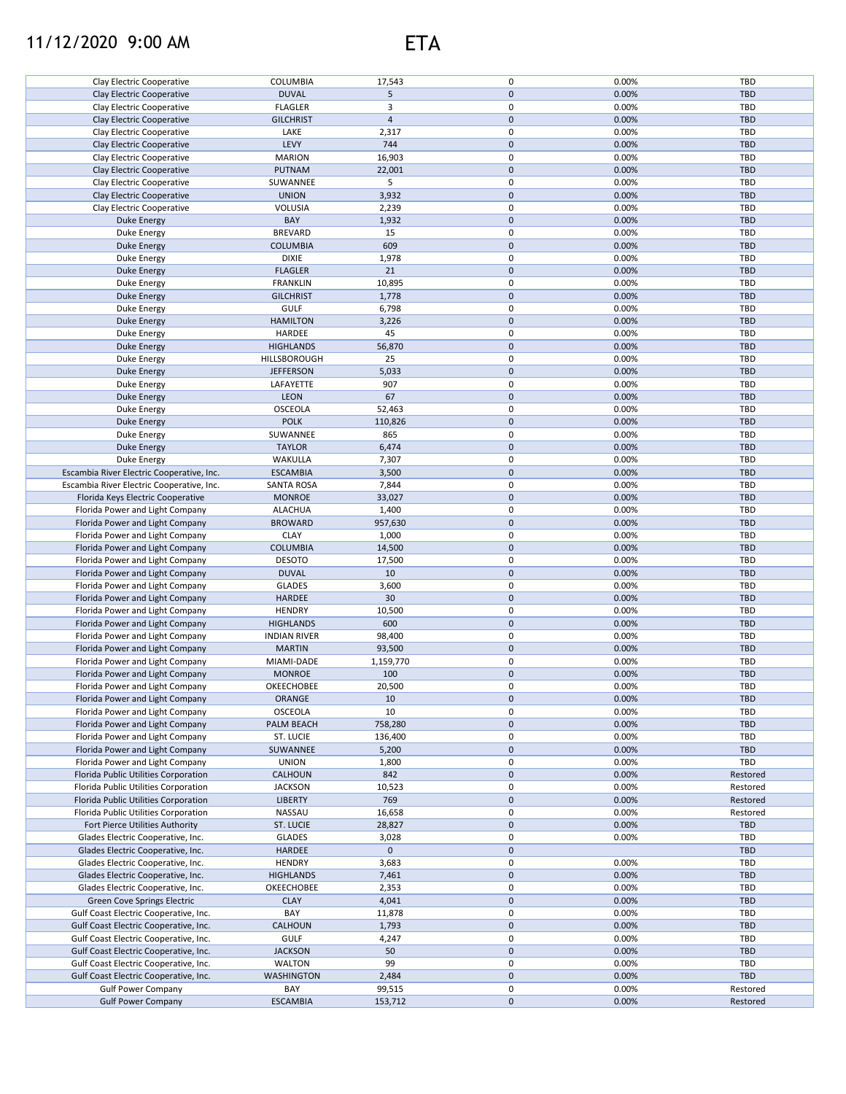## 11/12/2020 9:00 AM ETA



| Clay Electric Cooperative                 | COLUMBIA            | 17,543         | 0                   | 0.00% | <b>TBD</b> |
|-------------------------------------------|---------------------|----------------|---------------------|-------|------------|
| Clay Electric Cooperative                 | <b>DUVAL</b>        | 5              | $\mathbf 0$         | 0.00% | <b>TBD</b> |
|                                           |                     |                |                     |       |            |
| Clay Electric Cooperative                 | <b>FLAGLER</b>      | 3              | 0                   | 0.00% | <b>TBD</b> |
| Clay Electric Cooperative                 | <b>GILCHRIST</b>    | $\overline{4}$ | $\pmb{0}$           | 0.00% | <b>TBD</b> |
| Clay Electric Cooperative                 | LAKE                | 2,317          | 0                   | 0.00% | TBD        |
|                                           |                     |                |                     |       |            |
| Clay Electric Cooperative                 | LEVY                | 744            | $\pmb{0}$           | 0.00% | <b>TBD</b> |
| Clay Electric Cooperative                 | <b>MARION</b>       | 16,903         | $\pmb{0}$           | 0.00% | <b>TBD</b> |
| Clay Electric Cooperative                 | PUTNAM              | 22,001         | $\pmb{0}$           | 0.00% | <b>TBD</b> |
|                                           |                     |                |                     |       |            |
| Clay Electric Cooperative                 | SUWANNEE            | 5              | 0                   | 0.00% | <b>TBD</b> |
| Clay Electric Cooperative                 | <b>UNION</b>        | 3,932          | $\mathbf 0$         | 0.00% | <b>TBD</b> |
| Clay Electric Cooperative                 | <b>VOLUSIA</b>      | 2,239          | 0                   | 0.00% | <b>TBD</b> |
|                                           |                     |                |                     |       |            |
| <b>Duke Energy</b>                        | BAY                 | 1,932          | $\pmb{0}$           | 0.00% | <b>TBD</b> |
| Duke Energy                               | <b>BREVARD</b>      | 15             | $\mathbf 0$         | 0.00% | <b>TBD</b> |
| <b>Duke Energy</b>                        | <b>COLUMBIA</b>     | 609            | $\pmb{0}$           | 0.00% | <b>TBD</b> |
|                                           | <b>DIXIE</b>        |                | 0                   |       | <b>TBD</b> |
| Duke Energy                               |                     | 1,978          |                     | 0.00% |            |
| Duke Energy                               | <b>FLAGLER</b>      | 21             | $\pmb{0}$           | 0.00% | <b>TBD</b> |
| Duke Energy                               | <b>FRANKLIN</b>     | 10,895         | 0                   | 0.00% | <b>TBD</b> |
| Duke Energy                               | <b>GILCHRIST</b>    | 1,778          | $\pmb{0}$           | 0.00% | <b>TBD</b> |
|                                           |                     |                |                     |       |            |
| Duke Energy                               | <b>GULF</b>         | 6,798          | $\pmb{0}$           | 0.00% | TBD        |
| <b>Duke Energy</b>                        | <b>HAMILTON</b>     | 3,226          | $\pmb{0}$           | 0.00% | <b>TBD</b> |
| Duke Energy                               | HARDEE              | 45             | 0                   | 0.00% | TBD        |
|                                           |                     |                |                     |       |            |
| <b>Duke Energy</b>                        | <b>HIGHLANDS</b>    | 56,870         | $\mathbf 0$         | 0.00% | <b>TBD</b> |
| Duke Energy                               | HILLSBOROUGH        | 25             | 0                   | 0.00% | TBD        |
| <b>Duke Energy</b>                        | <b>JEFFERSON</b>    | 5,033          | $\pmb{0}$           | 0.00% | <b>TBD</b> |
|                                           |                     |                |                     |       |            |
| Duke Energy                               | LAFAYETTE           | 907            | 0                   | 0.00% | TBD        |
| <b>Duke Energy</b>                        | <b>LEON</b>         | 67             | $\pmb{0}$           | 0.00% | <b>TBD</b> |
| Duke Energy                               | <b>OSCEOLA</b>      | 52,463         | 0                   | 0.00% | TBD        |
|                                           |                     |                |                     |       |            |
| Duke Energy                               | <b>POLK</b>         | 110,826        | $\pmb{0}$           | 0.00% | <b>TBD</b> |
| Duke Energy                               | SUWANNEE            | 865            | $\pmb{0}$           | 0.00% | <b>TBD</b> |
| <b>Duke Energy</b>                        | <b>TAYLOR</b>       | 6,474          | $\mathsf{O}\xspace$ | 0.00% | <b>TBD</b> |
|                                           |                     |                |                     |       |            |
| Duke Energy                               | WAKULLA             | 7,307          | $\pmb{0}$           | 0.00% | TBD        |
| Escambia River Electric Cooperative, Inc. | <b>ESCAMBIA</b>     | 3,500          | $\mathbf 0$         | 0.00% | <b>TBD</b> |
| Escambia River Electric Cooperative, Inc. | <b>SANTA ROSA</b>   | 7,844          | $\pmb{0}$           | 0.00% | TBD        |
| Florida Keys Electric Cooperative         | <b>MONROE</b>       | 33,027         | $\pmb{0}$           | 0.00% | <b>TBD</b> |
|                                           |                     |                |                     |       |            |
| Florida Power and Light Company           | <b>ALACHUA</b>      | 1,400          | 0                   | 0.00% | <b>TBD</b> |
| Florida Power and Light Company           | <b>BROWARD</b>      | 957,630        | $\pmb{0}$           | 0.00% | <b>TBD</b> |
| Florida Power and Light Company           | <b>CLAY</b>         | 1,000          | 0                   | 0.00% | <b>TBD</b> |
|                                           |                     |                |                     |       |            |
| Florida Power and Light Company           | <b>COLUMBIA</b>     | 14,500         | $\pmb{0}$           | 0.00% | <b>TBD</b> |
| Florida Power and Light Company           | <b>DESOTO</b>       | 17,500         | 0                   | 0.00% | <b>TBD</b> |
| Florida Power and Light Company           | <b>DUVAL</b>        | 10             | $\mathbf 0$         | 0.00% | <b>TBD</b> |
|                                           |                     |                |                     |       |            |
| Florida Power and Light Company           | <b>GLADES</b>       | 3,600          | 0                   | 0.00% | <b>TBD</b> |
| Florida Power and Light Company           | <b>HARDEE</b>       | 30             | $\mathbf 0$         | 0.00% | <b>TBD</b> |
| Florida Power and Light Company           | <b>HENDRY</b>       | 10,500         | 0                   | 0.00% | <b>TBD</b> |
|                                           |                     |                | $\pmb{0}$           |       |            |
| Florida Power and Light Company           | <b>HIGHLANDS</b>    | 600            |                     | 0.00% | <b>TBD</b> |
| Florida Power and Light Company           | <b>INDIAN RIVER</b> | 98,400         | $\mathbf 0$         | 0.00% | <b>TBD</b> |
| Florida Power and Light Company           | <b>MARTIN</b>       | 93,500         | $\pmb{0}$           | 0.00% | <b>TBD</b> |
|                                           | MIAMI-DADE          |                | 0                   | 0.00% | <b>TBD</b> |
| Florida Power and Light Company           |                     | 1,159,770      |                     |       |            |
| Florida Power and Light Company           | <b>MONROE</b>       | 100            | $\mathbf 0$         | 0.00% | <b>TBD</b> |
| Florida Power and Light Company           | OKEECHOBEE          | 20.500         | 0                   | 0.00% | TBD        |
| Florida Power and Light Company           | ORANGE              | 10             | $\pmb{0}$           | 0.00% | TBD        |
|                                           |                     |                |                     |       |            |
| Florida Power and Light Company           | OSCEOLA             | 10             | 0                   | 0.00% | TBD        |
| Florida Power and Light Company           | PALM BEACH          | 758,280        | $\pmb{0}$           | 0.00% | TBD        |
| Florida Power and Light Company           | ST. LUCIE           | 136,400        | 0                   | 0.00% | <b>TBD</b> |
|                                           |                     |                |                     |       |            |
| Florida Power and Light Company           | SUWANNEE            | 5,200          | $\pmb{0}$           | 0.00% | <b>TBD</b> |
| Florida Power and Light Company           | <b>UNION</b>        | 1,800          | 0                   | 0.00% | TBD        |
| Florida Public Utilities Corporation      | CALHOUN             | 842            | $\pmb{0}$           | 0.00% | Restored   |
|                                           | <b>JACKSON</b>      |                |                     |       |            |
| Florida Public Utilities Corporation      |                     | 10,523         | 0                   | 0.00% | Restored   |
| Florida Public Utilities Corporation      | <b>LIBERTY</b>      | 769            | $\pmb{0}$           | 0.00% | Restored   |
| Florida Public Utilities Corporation      | NASSAU              | 16,658         | 0                   | 0.00% | Restored   |
| Fort Pierce Utilities Authority           | ST. LUCIE           | 28,827         | $\pmb{0}$           | 0.00% | <b>TBD</b> |
|                                           |                     |                |                     |       |            |
| Glades Electric Cooperative, Inc.         | <b>GLADES</b>       | 3,028          | 0                   | 0.00% | <b>TBD</b> |
| Glades Electric Cooperative, Inc.         | <b>HARDEE</b>       | $\mathbf 0$    | $\pmb{0}$           |       | <b>TBD</b> |
| Glades Electric Cooperative, Inc.         | <b>HENDRY</b>       | 3,683          | 0                   | 0.00% | <b>TBD</b> |
|                                           |                     |                |                     |       |            |
| Glades Electric Cooperative, Inc.         | <b>HIGHLANDS</b>    | 7,461          | $\pmb{0}$           | 0.00% | <b>TBD</b> |
| Glades Electric Cooperative, Inc.         | OKEECHOBEE          | 2,353          | 0                   | 0.00% | <b>TBD</b> |
| Green Cove Springs Electric               | <b>CLAY</b>         | 4,041          | $\pmb{0}$           | 0.00% | <b>TBD</b> |
|                                           |                     |                |                     |       |            |
| Gulf Coast Electric Cooperative, Inc.     | BAY                 | 11,878         | 0                   | 0.00% | <b>TBD</b> |
| Gulf Coast Electric Cooperative, Inc.     | CALHOUN             | 1,793          | $\mathsf{O}\xspace$ | 0.00% | <b>TBD</b> |
| Gulf Coast Electric Cooperative, Inc.     | <b>GULF</b>         | 4,247          | 0                   | 0.00% | <b>TBD</b> |
|                                           |                     |                | $\pmb{0}$           | 0.00% |            |
| Gulf Coast Electric Cooperative, Inc.     | <b>JACKSON</b>      | 50             |                     |       | <b>TBD</b> |
| Gulf Coast Electric Cooperative, Inc.     | <b>WALTON</b>       | 99             | 0                   | 0.00% | TBD        |
| Gulf Coast Electric Cooperative, Inc.     | WASHINGTON          | 2,484          | $\mathsf{O}\xspace$ | 0.00% | <b>TBD</b> |
| <b>Gulf Power Company</b>                 | BAY                 | 99,515         | 0                   | 0.00% | Restored   |
|                                           |                     |                |                     |       |            |
| <b>Gulf Power Company</b>                 | <b>ESCAMBIA</b>     | 153,712        | $\pmb{0}$           | 0.00% | Restored   |